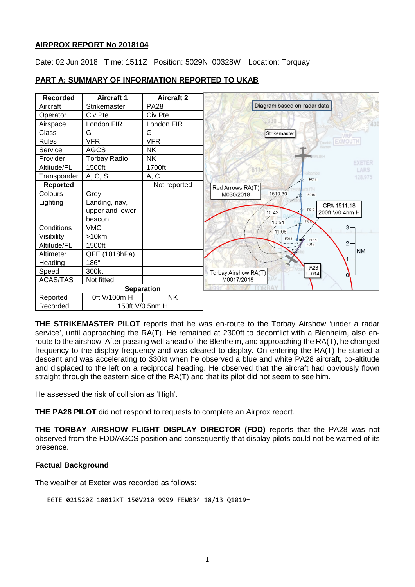#### **AIRPROX REPORT No 2018104**

Date: 02 Jun 2018 Time: 1511Z Position: 5029N 00328W Location: Torquay

| <b>Recorded</b> | <b>Aircraft 1</b>   | <b>Aircraft 2</b> |                                                     |
|-----------------|---------------------|-------------------|-----------------------------------------------------|
| Aircraft        | Strikemaster        | <b>PA28</b>       | Diagram based on radar data                         |
| Operator        | Civ Pte             | Civ Pte           |                                                     |
| Airspace        | London FIR          | London FIR        | 830                                                 |
| Class           | G                   | G                 | Strikemaster                                        |
| <b>Rules</b>    | <b>VFR</b>          | <b>VFR</b>        | Dawlish EXMOUTH                                     |
| Service         | <b>AGCS</b>         | <b>NK</b>         |                                                     |
| Provider        | <b>Torbay Radio</b> | <b>NK</b>         | <b>EXETER</b>                                       |
| Altitude/FL     | 1500ft              | 1700ft            | 8116<br>LARS                                        |
| Transponder     | A, C, S             | A, C              | admoor<br>128,975<br>F017                           |
| Reported        |                     | Not reported      | Red Arrows RA(T)<br><b>NUTH</b>                     |
| Colours         | Grey                |                   | 1510:30<br>M030/2018<br>F016                        |
| Lighting        | Landing, nav,       |                   | CPA 1511:18                                         |
|                 | upper and lower     |                   | F016<br>10:42<br>200ft V/0.4nm H                    |
|                 | beacon              |                   | 10:54<br>F <sub>0</sub> 1                           |
| Conditions      | <b>VMC</b>          |                   | 3 -<br>11:06                                        |
| Visibility      | >10km               |                   | $F013 +$<br>F015                                    |
| Altitude/FL     | 1500ft              |                   | $2 -$<br>F015                                       |
| Altimeter       | QFE (1018hPa)       |                   | <b>NM</b>                                           |
| Heading         | 186°                |                   |                                                     |
| Speed           | 300kt               |                   | <b>PA28</b><br>Torbay Airshow RA(T)<br><b>FL014</b> |
| <b>ACAS/TAS</b> | Not fitted          |                   | M0017/2018                                          |
|                 |                     | <b>Separation</b> |                                                     |
| Reported        | 0ft V/100m H        | <b>NK</b>         |                                                     |
| Recorded        | 150ft V/0.5nm H     |                   |                                                     |

## **PART A: SUMMARY OF INFORMATION REPORTED TO UKAB**

**THE STRIKEMASTER PILOT** reports that he was en-route to the Torbay Airshow 'under a radar service', until approaching the RA(T). He remained at 2300ft to deconflict with a Blenheim, also enroute to the airshow. After passing well ahead of the Blenheim, and approaching the RA(T), he changed frequency to the display frequency and was cleared to display. On entering the RA(T) he started a descent and was accelerating to 330kt when he observed a blue and white PA28 aircraft, co-altitude and displaced to the left on a reciprocal heading. He observed that the aircraft had obviously flown straight through the eastern side of the RA(T) and that its pilot did not seem to see him.

He assessed the risk of collision as 'High'.

**THE PA28 PILOT** did not respond to requests to complete an Airprox report.

**THE TORBAY AIRSHOW FLIGHT DISPLAY DIRECTOR (FDD)** reports that the PA28 was not observed from the FDD/AGCS position and consequently that display pilots could not be warned of its presence.

### **Factual Background**

The weather at Exeter was recorded as follows:

```
EGTE 021520Z 18012KT 150V210 9999 FEW034 18/13 Q1019=
```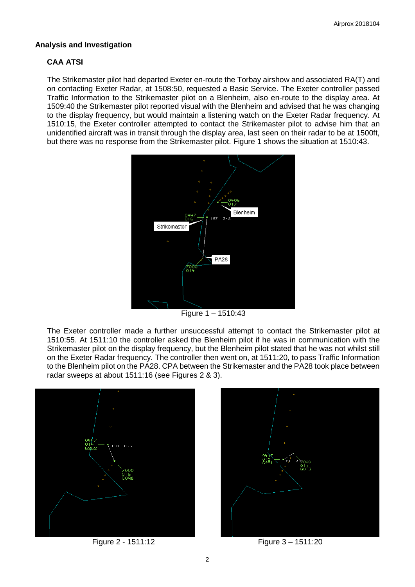#### **Analysis and Investigation**

# **CAA ATSI**

The Strikemaster pilot had departed Exeter en-route the Torbay airshow and associated RA(T) and on contacting Exeter Radar, at 1508:50, requested a Basic Service. The Exeter controller passed Traffic Information to the Strikemaster pilot on a Blenheim, also en-route to the display area. At 1509:40 the Strikemaster pilot reported visual with the Blenheim and advised that he was changing to the display frequency, but would maintain a listening watch on the Exeter Radar frequency. At 1510:15, the Exeter controller attempted to contact the Strikemaster pilot to advise him that an unidentified aircraft was in transit through the display area, last seen on their radar to be at 1500ft, but there was no response from the Strikemaster pilot. Figure 1 shows the situation at 1510:43.



Figure 1 – 1510:43

The Exeter controller made a further unsuccessful attempt to contact the Strikemaster pilot at 1510:55. At 1511:10 the controller asked the Blenheim pilot if he was in communication with the Strikemaster pilot on the display frequency, but the Blenheim pilot stated that he was not whilst still on the Exeter Radar frequency. The controller then went on, at 1511:20, to pass Traffic Information to the Blenheim pilot on the PA28. CPA between the Strikemaster and the PA28 took place between radar sweeps at about 1511:16 (see Figures 2 & 3).





Figure 2 - 1511:12 Figure 3 – 1511:20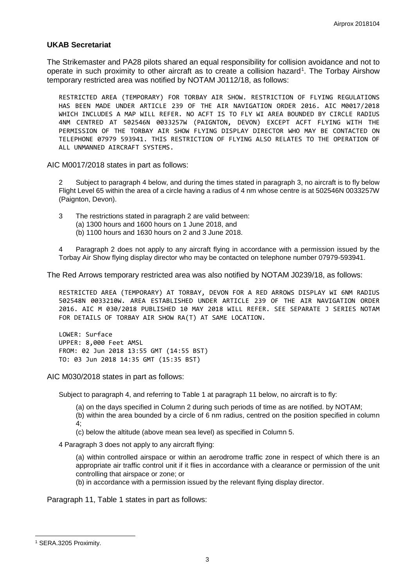#### **UKAB Secretariat**

The Strikemaster and PA28 pilots shared an equal responsibility for collision avoidance and not to operate in such proximity to other aircraft as to create a collision hazard<sup>[1](#page-2-0)</sup>. The Torbay Airshow temporary restricted area was notified by NOTAM J0112/18, as follows:

RESTRICTED AREA (TEMPORARY) FOR TORBAY AIR SHOW. RESTRICTION OF FLYING REGULATIONS HAS BEEN MADE UNDER ARTICLE 239 OF THE AIR NAVIGATION ORDER 2016. AIC M0017/2018 WHICH INCLUDES A MAP WILL REFER. NO ACFT IS TO FLY WI AREA BOUNDED BY CIRCLE RADIUS 4NM CENTRED AT 502546N 0033257W (PAIGNTON, DEVON) EXCEPT ACFT FLYING WITH THE PERMISSION OF THE TORBAY AIR SHOW FLYING DISPLAY DIRECTOR WHO MAY BE CONTACTED ON TELEPHONE 07979 593941. THIS RESTRICTION OF FLYING ALSO RELATES TO THE OPERATION OF ALL UNMANNED AIRCRAFT SYSTEMS.

AIC M0017/2018 states in part as follows:

2 Subject to paragraph 4 below, and during the times stated in paragraph 3, no aircraft is to fly below Flight Level 65 within the area of a circle having a radius of 4 nm whose centre is at 502546N 0033257W (Paignton, Devon).

3 The restrictions stated in paragraph 2 are valid between:

- (a) 1300 hours and 1600 hours on 1 June 2018, and
- (b) 1100 hours and 1630 hours on 2 and 3 June 2018.

4 Paragraph 2 does not apply to any aircraft flying in accordance with a permission issued by the Torbay Air Show flying display director who may be contacted on telephone number 07979-593941.

The Red Arrows temporary restricted area was also notified by NOTAM J0239/18, as follows:

RESTRICTED AREA (TEMPORARY) AT TORBAY, DEVON FOR A RED ARROWS DISPLAY WI 6NM RADIUS 502548N 0033210W. AREA ESTABLISHED UNDER ARTICLE 239 OF THE AIR NAVIGATION ORDER 2016. AIC M 030/2018 PUBLISHED 10 MAY 2018 WILL REFER. SEE SEPARATE J SERIES NOTAM FOR DETAILS OF TORBAY AIR SHOW RA(T) AT SAME LOCATION.

LOWER: Surface UPPER: 8,000 Feet AMSL FROM: 02 Jun 2018 13:55 GMT (14:55 BST) TO: 03 Jun 2018 14:35 GMT (15:35 BST)

AIC M030/2018 states in part as follows:

Subject to paragraph 4, and referring to Table 1 at paragraph 11 below, no aircraft is to fly:

(a) on the days specified in Column 2 during such periods of time as are notified. by NOTAM;

(b) within the area bounded by a circle of 6 nm radius, centred on the position specified in column 4;

(c) below the altitude (above mean sea level) as specified in Column 5.

4 Paragraph 3 does not apply to any aircraft flying:

(a) within controlled airspace or within an aerodrome traffic zone in respect of which there is an appropriate air traffic control unit if it flies in accordance with a clearance or permission of the unit controlling that airspace or zone; or

(b) in accordance with a permission issued by the relevant flying display director.

Paragraph 11, Table 1 states in part as follows:

 $\overline{\phantom{a}}$ 

<span id="page-2-0"></span><sup>1</sup> SERA.3205 Proximity.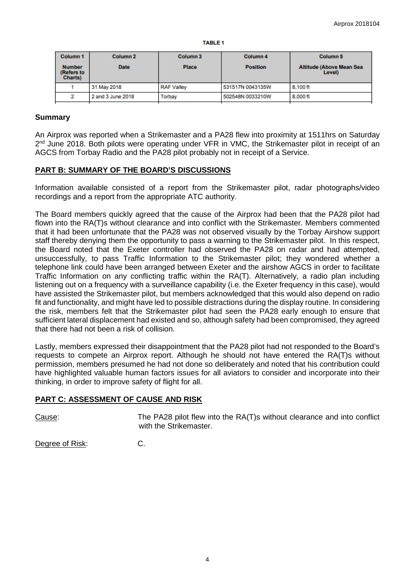|  | 'ABL |  |  |
|--|------|--|--|
|  |      |  |  |

| Column <sub>1</sub>                            | Column <sub>2</sub> | Column <sub>3</sub> | Column <sub>4</sub> | Column <sub>5</sub>                       |
|------------------------------------------------|---------------------|---------------------|---------------------|-------------------------------------------|
| <b>Number</b><br>(Refers to<br><b>Charts</b> ) | <b>Date</b>         | Place               | <b>Position</b>     | <b>Altitude (Above Mean Sea</b><br>Level) |
|                                                | 31 May 2018         | <b>RAF Valley</b>   | 531517N 0043135W    | 8.100 ft                                  |
|                                                | 2 and 3 June 2018   | <b>Torbay</b>       | 502548N 0033210W    | 8,000 ft                                  |

## **Summary**

An Airprox was reported when a Strikemaster and a PA28 flew into proximity at 1511hrs on Saturday 2<sup>nd</sup> June 2018. Both pilots were operating under VFR in VMC, the Strikemaster pilot in receipt of an AGCS from Torbay Radio and the PA28 pilot probably not in receipt of a Service.

# **PART B: SUMMARY OF THE BOARD'S DISCUSSIONS**

Information available consisted of a report from the Strikemaster pilot, radar photographs/video recordings and a report from the appropriate ATC authority.

The Board members quickly agreed that the cause of the Airprox had been that the PA28 pilot had flown into the RA(T)s without clearance and into conflict with the Strikemaster. Members commented that it had been unfortunate that the PA28 was not observed visually by the Torbay Airshow support staff thereby denying them the opportunity to pass a warning to the Strikemaster pilot. In this respect, the Board noted that the Exeter controller had observed the PA28 on radar and had attempted, unsuccessfully, to pass Traffic Information to the Strikemaster pilot; they wondered whether a telephone link could have been arranged between Exeter and the airshow AGCS in order to facilitate Traffic Information on any conflicting traffic within the RA(T). Alternatively, a radio plan including listening out on a frequency with a surveillance capability (i.e. the Exeter frequency in this case), would have assisted the Strikemaster pilot, but members acknowledged that this would also depend on radio fit and functionality, and might have led to possible distractions during the display routine. In considering the risk, members felt that the Strikemaster pilot had seen the PA28 early enough to ensure that sufficient lateral displacement had existed and so, although safety had been compromised, they agreed that there had not been a risk of collision.

Lastly, members expressed their disappointment that the PA28 pilot had not responded to the Board's requests to compete an Airprox report. Although he should not have entered the RA(T)s without permission, members presumed he had not done so deliberately and noted that his contribution could have highlighted valuable human factors issues for all aviators to consider and incorporate into their thinking, in order to improve safety of flight for all.

# **PART C: ASSESSMENT OF CAUSE AND RISK**

Cause: The PA28 pilot flew into the RA(T)s without clearance and into conflict with the Strikemaster.

Degree of Risk: C.